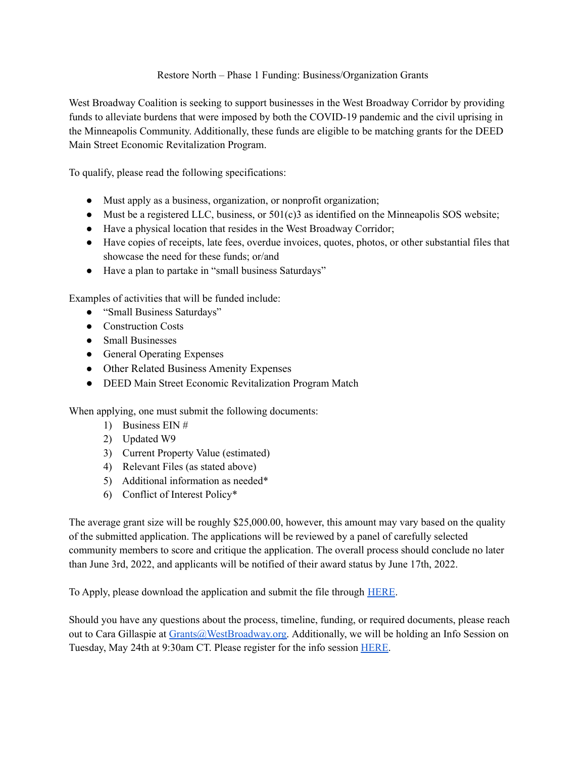## Restore North – Phase 1 Funding: Business/Organization Grants

West Broadway Coalition is seeking to support businesses in the West Broadway Corridor by providing funds to alleviate burdens that were imposed by both the COVID-19 pandemic and the civil uprising in the Minneapolis Community. Additionally, these funds are eligible to be matching grants for the DEED Main Street Economic Revitalization Program.

To qualify, please read the following specifications:

- Must apply as a business, organization, or nonprofit organization;
- Must be a registered LLC, business, or  $501(c)3$  as identified on the Minneapolis SOS website;
- Have a physical location that resides in the West Broadway Corridor;
- Have copies of receipts, late fees, overdue invoices, quotes, photos, or other substantial files that showcase the need for these funds; or/and
- Have a plan to partake in "small business Saturdays"

Examples of activities that will be funded include:

- "Small Business Saturdays"
- Construction Costs
- Small Businesses
- General Operating Expenses
- Other Related Business Amenity Expenses
- DEED Main Street Economic Revitalization Program Match

When applying, one must submit the following documents:

- 1) Business EIN #
- 2) Updated W9
- 3) Current Property Value (estimated)
- 4) Relevant Files (as stated above)
- 5) Additional information as needed\*
- 6) Conflict of Interest Policy\*

The average grant size will be roughly \$25,000.00, however, this amount may vary based on the quality of the submitted application. The applications will be reviewed by a panel of carefully selected community members to score and critique the application. The overall process should conclude no later than June 3rd, 2022, and applicants will be notified of their award status by June 17th, 2022.

To Apply, please download the application and submit the file through [HERE](https://docs.google.com/forms/d/e/1FAIpQLSfuuMADgV2Vs4uTpuKcTvjIyC5v0KUhQovXOPKz9idPLdHXHw/viewform?usp=sf_link).

Should you have any questions about the process, timeline, funding, or required documents, please reach out to Cara Gillaspie at [Grants@WestBroadway.org.](mailto:Grants@WestBroadway.org) Additionally, we will be holding an Info Session on Tuesday, May 24th at 9:30am CT. Please register for the info session [HERE.](https://calendly.com/grants-13/restore-north-info-session?month=2022-05)